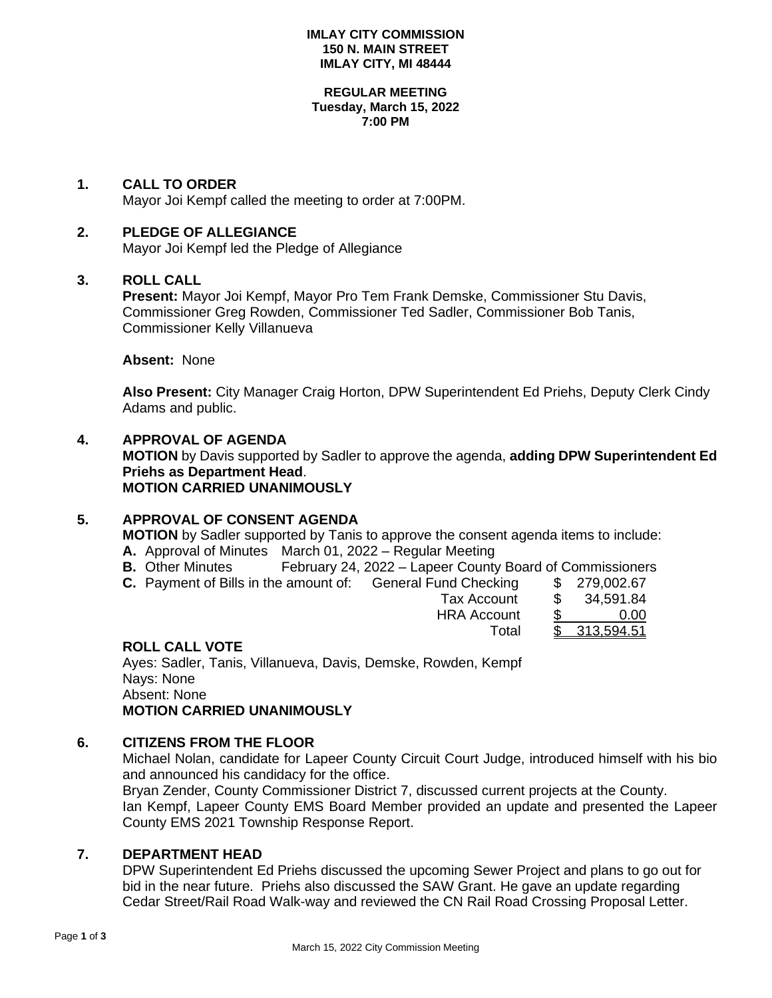#### **IMLAY CITY COMMISSION 150 N. MAIN STREET IMLAY CITY, MI 48444**

#### **REGULAR MEETING Tuesday, March 15, 2022 7:00 PM**

## **1. CALL TO ORDER**

Mayor Joi Kempf called the meeting to order at 7:00PM.

## **2. PLEDGE OF ALLEGIANCE**

Mayor Joi Kempf led the Pledge of Allegiance

#### **3. ROLL CALL**

**Present:** Mayor Joi Kempf, Mayor Pro Tem Frank Demske, Commissioner Stu Davis, Commissioner Greg Rowden, Commissioner Ted Sadler, Commissioner Bob Tanis, Commissioner Kelly Villanueva

**Absent:** None

**Also Present:** City Manager Craig Horton, DPW Superintendent Ed Priehs, Deputy Clerk Cindy Adams and public.

## **4. APPROVAL OF AGENDA**

**MOTION** by Davis supported by Sadler to approve the agenda, **adding DPW Superintendent Ed Priehs as Department Head**. **MOTION CARRIED UNANIMOUSLY**

# **5. APPROVAL OF CONSENT AGENDA**

**MOTION** by Sadler supported by Tanis to approve the consent agenda items to include:

- **A.** Approval of Minutes March 01, 2022 Regular Meeting
- **B.** Other Minutes February 24, 2022 Lapeer County Board of Commissioners
- **C.** Payment of Bills in the amount of: General Fund Checking \$ 279,002.67

| i i unu viivumiy   | w  | 1,000      |
|--------------------|----|------------|
| <b>Tax Account</b> | S  | 34,591.84  |
| <b>HRA Account</b> | \$ | 0.00       |
| Total              |    | 313,594.51 |
|                    |    |            |

#### **ROLL CALL VOTE**

Ayes: Sadler, Tanis, Villanueva, Davis, Demske, Rowden, Kempf Nays: None Absent: None **MOTION CARRIED UNANIMOUSLY**

## **6. CITIZENS FROM THE FLOOR**

Michael Nolan, candidate for Lapeer County Circuit Court Judge, introduced himself with his bio and announced his candidacy for the office. Bryan Zender, County Commissioner District 7, discussed current projects at the County. Ian Kempf, Lapeer County EMS Board Member provided an update and presented the Lapeer County EMS 2021 Township Response Report.

**7. DEPARTMENT HEAD**

DPW Superintendent Ed Priehs discussed the upcoming Sewer Project and plans to go out for bid in the near future. Priehs also discussed the SAW Grant. He gave an update regarding Cedar Street/Rail Road Walk-way and reviewed the CN Rail Road Crossing Proposal Letter.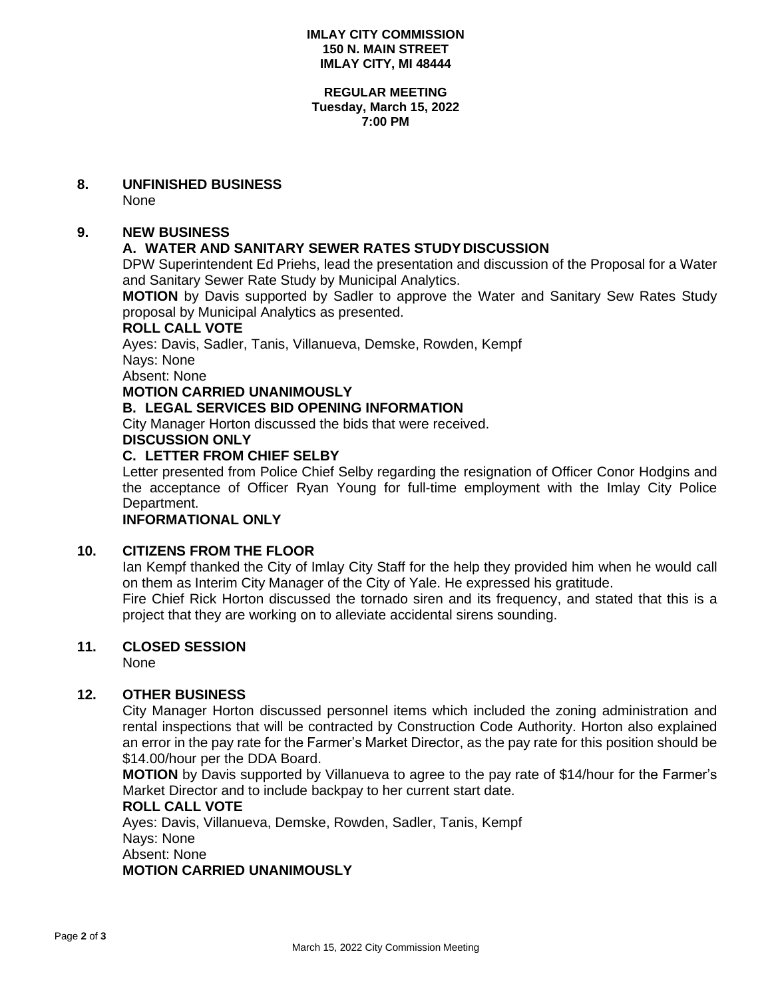#### **IMLAY CITY COMMISSION 150 N. MAIN STREET IMLAY CITY, MI 48444**

#### **REGULAR MEETING Tuesday, March 15, 2022 7:00 PM**

## **8. UNFINISHED BUSINESS**

None

# **9. NEW BUSINESS**

# **A. WATER AND SANITARY SEWER RATES STUDYDISCUSSION**

DPW Superintendent Ed Priehs, lead the presentation and discussion of the Proposal for a Water and Sanitary Sewer Rate Study by Municipal Analytics.

**MOTION** by Davis supported by Sadler to approve the Water and Sanitary Sew Rates Study proposal by Municipal Analytics as presented.

#### **ROLL CALL VOTE**

Ayes: Davis, Sadler, Tanis, Villanueva, Demske, Rowden, Kempf Nays: None

Absent: None

# **MOTION CARRIED UNANIMOUSLY**

# **B. LEGAL SERVICES BID OPENING INFORMATION**

City Manager Horton discussed the bids that were received.

**DISCUSSION ONLY**

## **C. LETTER FROM CHIEF SELBY**

Letter presented from Police Chief Selby regarding the resignation of Officer Conor Hodgins and the acceptance of Officer Ryan Young for full-time employment with the Imlay City Police Department.

# **INFORMATIONAL ONLY**

## **10. CITIZENS FROM THE FLOOR**

Ian Kempf thanked the City of Imlay City Staff for the help they provided him when he would call on them as Interim City Manager of the City of Yale. He expressed his gratitude.

Fire Chief Rick Horton discussed the tornado siren and its frequency, and stated that this is a project that they are working on to alleviate accidental sirens sounding.

## **11. CLOSED SESSION**

None

## **12. OTHER BUSINESS**

City Manager Horton discussed personnel items which included the zoning administration and rental inspections that will be contracted by Construction Code Authority. Horton also explained an error in the pay rate for the Farmer's Market Director, as the pay rate for this position should be \$14.00/hour per the DDA Board.

**MOTION** by Davis supported by Villanueva to agree to the pay rate of \$14/hour for the Farmer's Market Director and to include backpay to her current start date.

# **ROLL CALL VOTE**

Ayes: Davis, Villanueva, Demske, Rowden, Sadler, Tanis, Kempf Nays: None Absent: None **MOTION CARRIED UNANIMOUSLY**